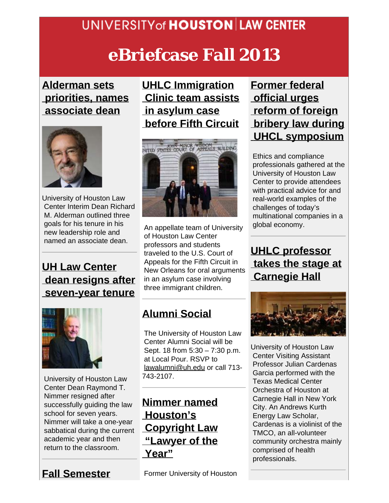## **UNIVERSITY of HOUSTON LAW CENTER**

# **eBriefcase Fall 2013**

#### **[Alderman sets](http://www.law.uh.edu/news/spring2013/0305Alderman-Hoffman.asp)  [priorities, names](http://www.law.uh.edu/news/spring2013/0305Alderman-Hoffman.asp)  [associate dean](http://www.law.uh.edu/news/spring2013/0305Alderman-Hoffman.asp)**



University of Houston Law Center Interim Dean Richard M. Alderman outlined three goals for his tenure in his new leadership role and named an associate dean.

### **[UH Law Center](http://www.law.uh.edu/news/spring2013/0226Nimmer.asp)  [dean resigns after](http://www.law.uh.edu/news/spring2013/0226Nimmer.asp)  [seven-year tenure](http://www.law.uh.edu/news/spring2013/0226Nimmer.asp)**



University of Houston Law Center Dean Raymond T. Nimmer resigned after successfully guiding the law school for seven years. Nimmer will take a one-year sabbatical during the current academic year and then return to the classroom.

## **[Fall Semester](http://www.law.uh.edu/news/fall2013/0826FallSemester.asp)**

**[UHLC Immigration](http://www.law.uh.edu/news/fall2013/0910Hoffman.asp)  [Clinic team assists](http://www.law.uh.edu/news/fall2013/0910Hoffman.asp)  [in asylum case](http://www.law.uh.edu/news/fall2013/0910Hoffman.asp)  [before Fifth Circuit](http://www.law.uh.edu/news/fall2013/0910Hoffman.asp)**



An appellate team of University of Houston Law Center professors and students traveled to the U.S. Court of Appeals for the Fifth Circuit in New Orleans for oral arguments in an asylum case involving three immigrant children.

## **[Alumni Social](http://www.law.uh.edu/alumni/event_schedule_alumni.asp)**

 The University of Houston Law Center Alumni Social will be Sept. 18 from 5:30 – 7:30 p.m. at Local Pour. RSVP to [lawalumni@uh.edu](mailto:lawalumni@uh.edu) or call 713- 743-2107.

**[Nimmer named](http://www.law.uh.edu/news/summer2013/0819nimmer.asp)  [Houston's](http://www.law.uh.edu/news/summer2013/0819nimmer.asp)  [Copyright Law](http://www.law.uh.edu/news/summer2013/0819nimmer.asp)  ["Lawyer of the](http://www.law.uh.edu/news/summer2013/0819nimmer.asp)  [Year"](http://www.law.uh.edu/news/summer2013/0819nimmer.asp)**

Former University of Houston

#### **[Former federal](http://www.law.uh.edu/news/summer2013/0606symposium.asp)  [official urges](http://www.law.uh.edu/news/summer2013/0606symposium.asp)  [reform of foreign](http://www.law.uh.edu/news/summer2013/0606symposium.asp)  [bribery law during](http://www.law.uh.edu/news/summer2013/0606symposium.asp) [UHCL symposium](http://www.law.uh.edu/news/summer2013/0606symposium.asp)**

Ethics and compliance professionals gathered at the University of Houston Law Center to provide attendees with practical advice for and real-world examples of the challenges of today's multinational companies in a global economy.

**[UHLC professor](http://www.law.uh.edu/news/summer2013/0729VisitingProfessor.asp)  [takes the stage at](http://www.law.uh.edu/news/summer2013/0729VisitingProfessor.asp)  [Carnegie Hall](http://www.law.uh.edu/news/summer2013/0729VisitingProfessor.asp)**



University of Houston Law Center Visiting Assistant Professor Julian Cardenas Garcia performed with the Texas Medical Center Orchestra of Houston at Carnegie Hall in New York City. An Andrews Kurth Energy Law Scholar, Cardenas is a violinist of the TMCO, an all-volunteer community orchestra mainly comprised of health professionals.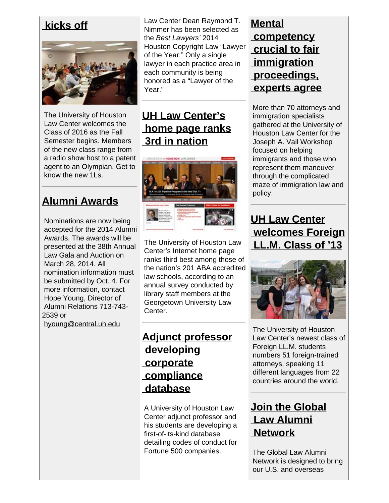**[kicks off](http://www.law.uh.edu/news/fall2013/0826FallSemester.asp)**



The University of Houston Law Center welcomes the Class of 2016 as the Fall Semester begins. Members of the new class range from a radio show host to a patent agent to an Olympian. Get to know the new 1Ls.

## **[Alumni Awards](http://www.law.uh.edu/alumni/awards/nominationForm.pdf)**

Nominations are now being accepted for the 2014 Alumni Awards. The awards will be presented at the 38th Annual Law Gala and Auction on March 28, 2014. All nomination information must be submitted by Oct. 4. For more information, contact Hope Young, Director of Alumni Relations 713-743- 2539 or [hyoung@central.uh.edu](https://email.uh.edu/owa/redir.aspx?C=610b6a881def42af93d093f34b54af48&URL=mailto%3ahyoung%40central.uh.edu)

 Law Center Dean Raymond T. Nimmer has been selected as the *Best Lawyers'* 2014 Houston Copyright Law "Lawyer of the Year." Only a single lawyer in each practice area in each community is being honored as a "Lawyer of the Year."

## **[UH Law Center's](http://www.law.uh.edu/news/fall2013/0830web.asp)  [home page ranks](http://www.law.uh.edu/news/fall2013/0830web.asp)  [3rd in nation](http://www.law.uh.edu/news/fall2013/0830web.asp)**



The University of Houston Law Center's Internet home page ranks third best among those of the nation's 201 ABA accredited law schools, according to an annual survey conducted by library staff members at the Georgetown University Law Center.

#### **[Adjunct professor](http://www.law.uh.edu/news/fall2013/0830McConnell.asp)  [developing](http://www.law.uh.edu/news/fall2013/0830McConnell.asp)  [corporate](http://www.law.uh.edu/news/fall2013/0830McConnell.asp)  [compliance](http://www.law.uh.edu/news/fall2013/0830McConnell.asp)  [database](http://www.law.uh.edu/news/fall2013/0830McConnell.asp)**

A University of Houston Law Center adjunct professor and his students are developing a first-of-its-kind database detailing codes of conduct for Fortune 500 companies.

#### **[Mental](http://www.law.uh.edu/news/summer2013/0611Vail.asp)  [competency](http://www.law.uh.edu/news/summer2013/0611Vail.asp)  [crucial to fair](http://www.law.uh.edu/news/summer2013/0611Vail.asp)  [immigration](http://www.law.uh.edu/news/summer2013/0611Vail.asp)  [proceedings,](http://www.law.uh.edu/news/summer2013/0611Vail.asp)  [experts agree](http://www.law.uh.edu/news/summer2013/0611Vail.asp)**

More than 70 attorneys and immigration specialists gathered at the University of Houston Law Center for the Joseph A. Vail Workshop focused on helping immigrants and those who represent them maneuver through the complicated maze of immigration law and policy.

### **[UH Law Center](http://www.law.uh.edu/news/summer2013/0806ForeignLLM.asp)  [welcomes Foreign](http://www.law.uh.edu/news/summer2013/0806ForeignLLM.asp)  [LL.M. Class of '13](http://www.law.uh.edu/news/summer2013/0806ForeignLLM.asp)**



The University of Houston Law Center's newest class of Foreign LL.M. students numbers 51 foreign-trained attorneys, speaking 11 different languages from 22 countries around the world.

#### **[Join the Global](http://www.law.uh.edu/alumni/global)  [Law Alumni](http://www.law.uh.edu/alumni/global)  [Network](http://www.law.uh.edu/alumni/global)**

 The Global Law Alumni Network is designed to bring our U.S. and overseas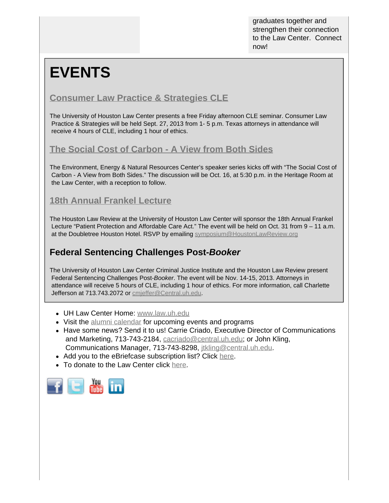graduates together and strengthen their connection to the Law Center. Connect now!

# **EVENTS**

#### **[Consumer Law Practice & Strategies CLE](https://www.law.uh.edu/ccl/2013CLPS/)**

The University of Houston Law Center presents a free Friday afternoon CLE seminar. Consumer Law Practice & Strategies will be held Sept. 27, 2013 from 1- 5 p.m. Texas attorneys in attendance will receive 4 hours of CLE, including 1 hour of ethics.

#### **[The Social Cost of Carbon - A View from Both Sides](http://www.law.uh.edu/news/fall2013/0911EENR.asp)**

The Environment, Energy & Natural Resources Center's speaker series kicks off with "The Social Cost of Carbon - A View from Both Sides." The discussion will be Oct. 16, at 5:30 p.m. in the Heritage Room at the Law Center, with a reception to follow.

#### **[18th Annual Frankel Lecture](http://www.houstonlawreview.org/)**

The Houston Law Review at the University of Houston Law Center will sponsor the 18th Annual Frankel Lecture "Patient Protection and Affordable Care Act." The event will be held on Oct. 31 from 9 – 11 a.m. at the Doubletree Houston Hotel. RSVP by emailing [symposium@HoustonLawReview.org](mailto:symposium@HoustonLawReview.org)

#### **Federal Sentencing Challenges Post-***Booker*

The University of Houston Law Center Criminal Justice Institute and the Houston Law Review present Federal Sentencing Challenges Post-*Booker*. The event will be Nov. 14-15, 2013. Attorneys in attendance will receive 5 hours of CLE, including 1 hour of ethics. For more information, call Charlette Jefferson at 713.743.2072 or [cmjeffer@Central.uh.edu](mailto:cmjeffer@Central.uh.edu).

- UH Law Center Home: [www.law.uh.edu](http://www.law.uh.edu/)
- Visit the [alumni calendar](http://www.law.uh.edu/alumni/event_schedule_alumni.asp) for upcoming events and programs
- Have some news? Send it to us! Carrie Criado, Executive Director of Communications and Marketing, 713-743-2184, [cacriado@central.uh.edu](mailto:cacriado@central.uh.edu); or John Kling, Communications Manager, 713-743-8298, [jtkling@central.uh.edu](mailto:jtkling@central.uh.edu).
- Add you to the eBriefcase subscription list? Click [here](https://www.law.uh.edu/alumni/sign-up-ebriefcase.html).
- To donate to the Law Center click [here](https://giving.uh.edu/law/).